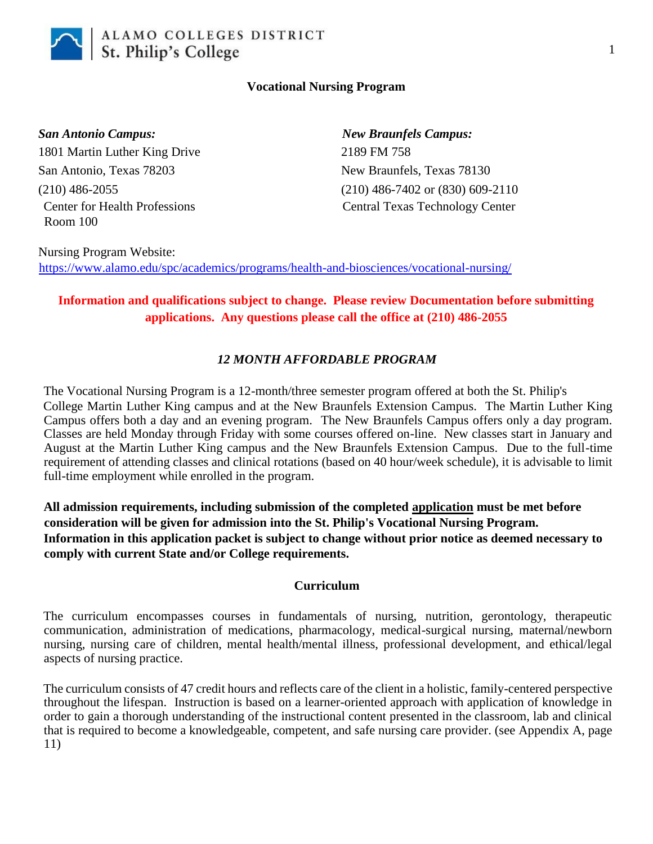

#### **Vocational Nursing Program**

*San Antonio Campus: New Braunfels Campus:* 1801 Martin Luther King Drive 2189 FM 758 San Antonio, Texas 78203 New Braunfels, Texas 78130 Room 100

(210) 486-2055 (210) 486-7402 or (830) 609-2110 Center for Health Professions Central Texas Technology Center

Nursing Program Website: <https://www.alamo.edu/spc/academics/programs/health-and-biosciences/vocational-nursing/>

# **Information and qualifications subject to change. Please review Documentation before submitting applications. Any questions please call the office at (210) 486-2055**

# *12 MONTH AFFORDABLE PROGRAM*

The Vocational Nursing Program is a 12-month/three semester program offered at both the St. Philip's College Martin Luther King campus and at the New Braunfels Extension Campus. The Martin Luther King Campus offers both a day and an evening program. The New Braunfels Campus offers only a day program. Classes are held Monday through Friday with some courses offered on-line. New classes start in January and August at the Martin Luther King campus and the New Braunfels Extension Campus. Due to the full-time requirement of attending classes and clinical rotations (based on 40 hour/week schedule), it is advisable to limit full-time employment while enrolled in the program.

**All admission requirements, including submission of the completed application must be met before consideration will be given for admission into the St. Philip's Vocational Nursing Program. Information in this application packet is subject to change without prior notice as deemed necessary to comply with current State and/or College requirements.**

#### **Curriculum**

The curriculum encompasses courses in fundamentals of nursing, nutrition, gerontology, therapeutic communication, administration of medications, pharmacology, medical-surgical nursing, maternal/newborn nursing, nursing care of children, mental health/mental illness, professional development, and ethical/legal aspects of nursing practice.

The curriculum consists of 47 credit hours and reflects care of the client in a holistic, family-centered perspective throughout the lifespan. Instruction is based on a learner-oriented approach with application of knowledge in order to gain a thorough understanding of the instructional content presented in the classroom, lab and clinical that is required to become a knowledgeable, competent, and safe nursing care provider. (see Appendix A, page 11)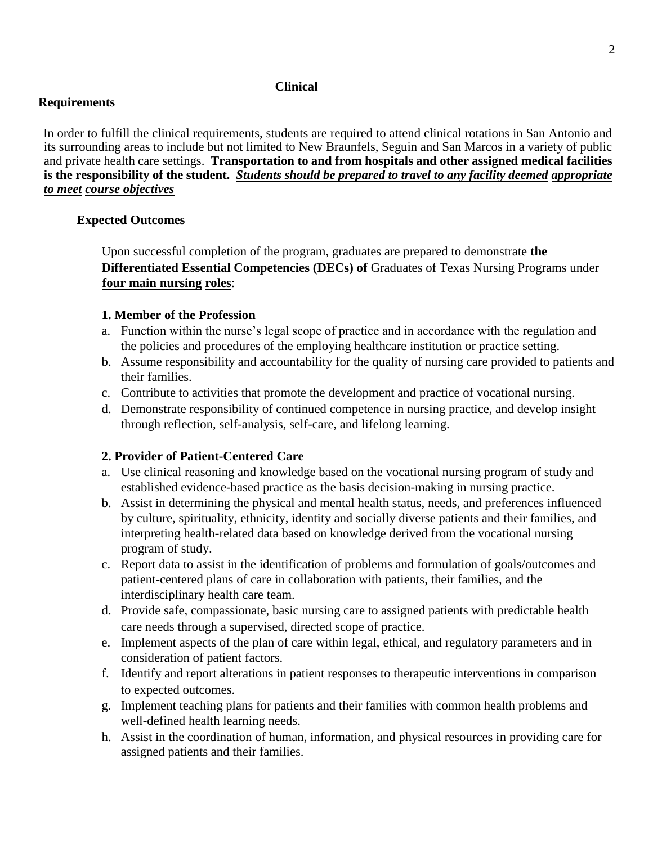#### **Clinical**

#### **Requirements**

In order to fulfill the clinical requirements, students are required to attend clinical rotations in San Antonio and its surrounding areas to include but not limited to New Braunfels, Seguin and San Marcos in a variety of public and private health care settings. **Transportation to and from hospitals and other assigned medical facilities is the responsibility of the student.** *Students should be prepared to travel to any facility deemed appropriate to meet course objectives*

# **Expected Outcomes**

Upon successful completion of the program, graduates are prepared to demonstrate **the Differentiated Essential Competencies (DECs) of Graduates of Texas Nursing Programs under four main nursing roles**:

#### **1. Member of the Profession**

- a. Function within the nurse's legal scope of practice and in accordance with the regulation and the policies and procedures of the employing healthcare institution or practice setting.
- b. Assume responsibility and accountability for the quality of nursing care provided to patients and their families.
- c. Contribute to activities that promote the development and practice of vocational nursing.
- d. Demonstrate responsibility of continued competence in nursing practice, and develop insight through reflection, self-analysis, self-care, and lifelong learning.

# **2. Provider of Patient-Centered Care**

- a. Use clinical reasoning and knowledge based on the vocational nursing program of study and established evidence-based practice as the basis decision-making in nursing practice.
- b. Assist in determining the physical and mental health status, needs, and preferences influenced by culture, spirituality, ethnicity, identity and socially diverse patients and their families, and interpreting health-related data based on knowledge derived from the vocational nursing program of study.
- c. Report data to assist in the identification of problems and formulation of goals/outcomes and patient-centered plans of care in collaboration with patients, their families, and the interdisciplinary health care team.
- d. Provide safe, compassionate, basic nursing care to assigned patients with predictable health care needs through a supervised, directed scope of practice.
- e. Implement aspects of the plan of care within legal, ethical, and regulatory parameters and in consideration of patient factors.
- f. Identify and report alterations in patient responses to therapeutic interventions in comparison to expected outcomes.
- g. Implement teaching plans for patients and their families with common health problems and well-defined health learning needs.
- h. Assist in the coordination of human, information, and physical resources in providing care for assigned patients and their families.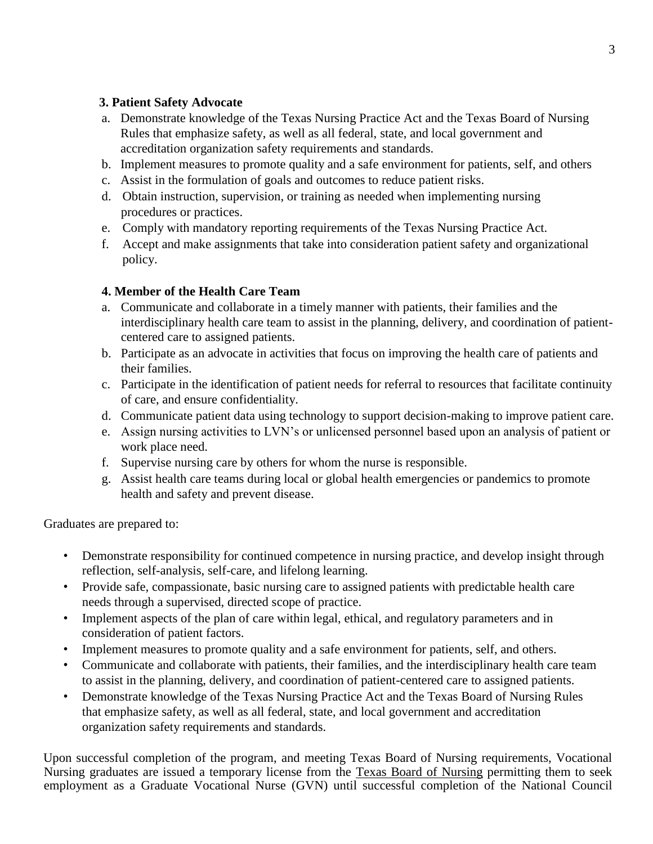# **3. Patient Safety Advocate**

- a. Demonstrate knowledge of the Texas Nursing Practice Act and the Texas Board of Nursing Rules that emphasize safety, as well as all federal, state, and local government and accreditation organization safety requirements and standards.
- b. Implement measures to promote quality and a safe environment for patients, self, and others
- c. Assist in the formulation of goals and outcomes to reduce patient risks.
- d. Obtain instruction, supervision, or training as needed when implementing nursing procedures or practices.
- e. Comply with mandatory reporting requirements of the Texas Nursing Practice Act.
- f. Accept and make assignments that take into consideration patient safety and organizational policy.

# **4. Member of the Health Care Team**

- a. Communicate and collaborate in a timely manner with patients, their families and the interdisciplinary health care team to assist in the planning, delivery, and coordination of patientcentered care to assigned patients.
- b. Participate as an advocate in activities that focus on improving the health care of patients and their families.
- c. Participate in the identification of patient needs for referral to resources that facilitate continuity of care, and ensure confidentiality.
- d. Communicate patient data using technology to support decision-making to improve patient care.
- e. Assign nursing activities to LVN's or unlicensed personnel based upon an analysis of patient or work place need.
- f. Supervise nursing care by others for whom the nurse is responsible.
- g. Assist health care teams during local or global health emergencies or pandemics to promote health and safety and prevent disease.

Graduates are prepared to:

- Demonstrate responsibility for continued competence in nursing practice, and develop insight through reflection, self-analysis, self-care, and lifelong learning.
- Provide safe, compassionate, basic nursing care to assigned patients with predictable health care needs through a supervised, directed scope of practice.
- Implement aspects of the plan of care within legal, ethical, and regulatory parameters and in consideration of patient factors.
- Implement measures to promote quality and a safe environment for patients, self, and others.
- Communicate and collaborate with patients, their families, and the interdisciplinary health care team to assist in the planning, delivery, and coordination of patient-centered care to assigned patients.
- Demonstrate knowledge of the Texas Nursing Practice Act and the Texas Board of Nursing Rules that emphasize safety, as well as all federal, state, and local government and accreditation organization safety requirements and standards.

Upon successful completion of the program, and meeting Texas Board of Nursing requirements, Vocational Nursing graduates are issued a temporary license from the Texas Board of Nursing permitting them to seek employment as a Graduate Vocational Nurse (GVN) until successful completion of the National Council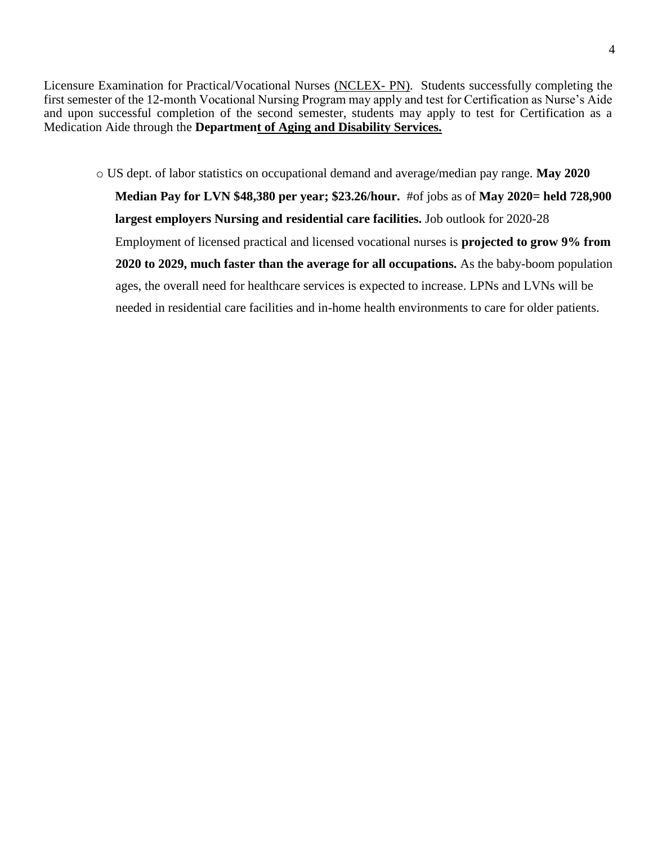Licensure Examination for Practical/Vocational Nurses (NCLEX- PN). Students successfully completing the first semester of the 12-month Vocational Nursing Program may apply and test for Certification as Nurse's Aide and upon successful completion of the second semester, students may apply to test for Certification as a Medication Aide through the **Department of Aging and Disability Services.**

o US dept. of labor statistics on occupational demand and average/median pay range. **May 2020 Median Pay for LVN \$48,380 per year; \$23.26/hour.** #of jobs as of **May 2020= held 728,900 largest employers Nursing and residential care facilities.** Job outlook for 2020-28 Employment of licensed practical and licensed vocational nurses is **projected to grow 9% from 2020 to 2029, much faster than the average for all occupations.** As the baby-boom population ages, the overall need for healthcare services is expected to increase. LPNs and LVNs will be needed in residential care facilities and in-home health environments to care for older patients.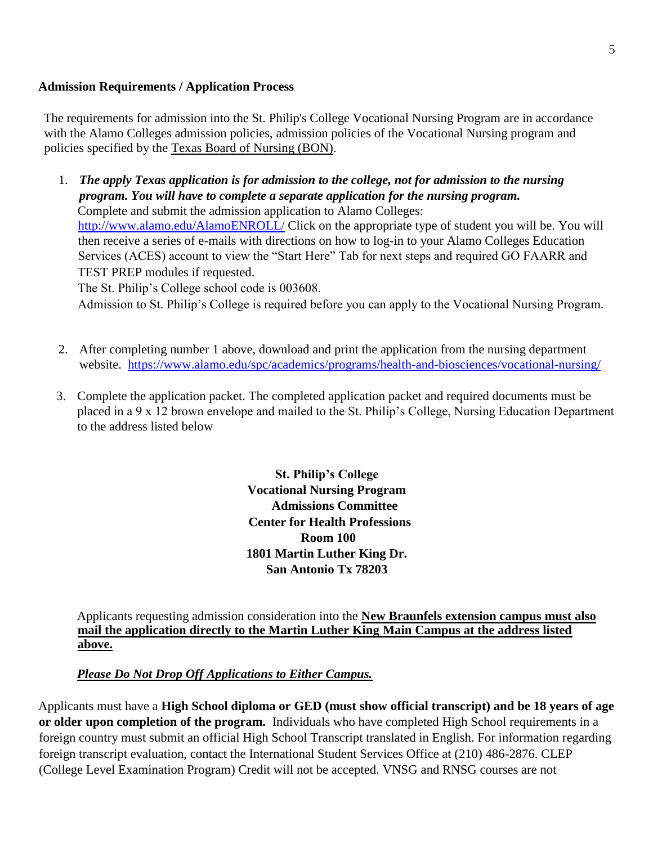#### **Admission Requirements / Application Process**

The requirements for admission into the St. Philip's College Vocational Nursing Program are in accordance with the Alamo Colleges admission policies, admission policies of the Vocational Nursing program and policies specified by the Texas Board of Nursing (BON).

1. *The apply Texas application is for admission to the college, not for admission to the nursing program. You will have to complete a separate application for the nursing program.* Complete and submit the admission application to Alamo Colleges: <http://www.alamo.edu/AlamoENROLL/> [Cl](http://www.alamo.edu/AlamoENROLL/)ick on the appropriate type of student you will be. You will then receive a series of e-mails with directions on how to log-in to your Alamo Colleges Education Services (ACES) account to view the "Start Here" Tab for next steps and required GO FAARR and TEST PREP modules if requested.

The St. Philip's College school code is 003608.

Admission to St. Philip's College is required before you can apply to the Vocational Nursing Program.

- 2. After completing number 1 above, download and print the application from the nursing department website. <https://www.alamo.edu/spc/academics/programs/health-and-biosciences/vocational-nursing/>
- 3. Complete the application packet. The completed application packet and required documents must be placed in a 9 x 12 brown envelope and mailed to the St. Philip's College, Nursing Education Department to the address listed below

**St. Philip's College Vocational Nursing Program Admissions Committee Center for Health Professions Room 100 1801 Martin Luther King Dr. San Antonio Tx 78203** 

Applicants requesting admission consideration into the **New Braunfels extension campus must also mail the application directly to the Martin Luther King Main Campus at the address listed above.** 

# *Please Do Not Drop Off Applications to Either Campus.*

Applicants must have a **High School diploma or GED (must show official transcript) and be 18 years of age or older upon completion of the program.** Individuals who have completed High School requirements in a foreign country must submit an official High School Transcript translated in English. For information regarding foreign transcript evaluation, contact the International Student Services Office at (210) 486-2876. CLEP (College Level Examination Program) Credit will not be accepted. VNSG and RNSG courses are not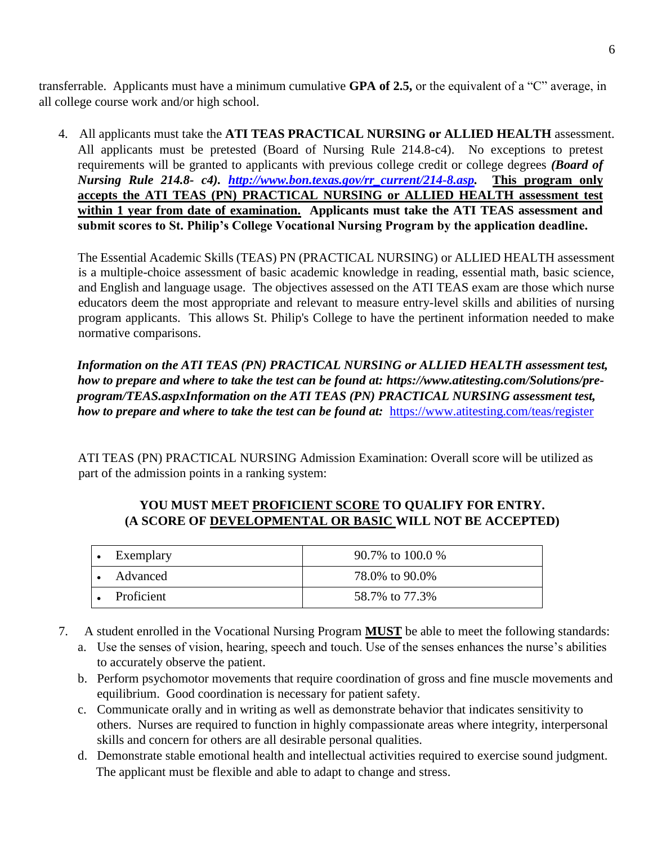transferrable. Applicants must have a minimum cumulative **GPA of 2.5,** or the equivalent of a "C" average, in all college course work and/or high school.

4. All applicants must take the **ATI TEAS PRACTICAL NURSING or ALLIED HEALTH** assessment. All applicants must be pretested (Board of Nursing Rule 214.8-c4). No exceptions to pretest requirements will be granted to applicants with previous college credit or college degrees *(Board of Nursing Rule 214.8- c4). [http://www.bon.texas.gov/rr\\_current/214-8.asp.](http://www.bon.texas.gov/rr_current/214-8.asp)* **This program only accepts the ATI TEAS (PN) PRACTICAL NURSING or ALLIED HEALTH assessment test within 1 year from date of examination. Applicants must take the ATI TEAS assessment and submit scores to St. Philip's College Vocational Nursing Program by the application deadline.** 

The Essential Academic Skills (TEAS) PN (PRACTICAL NURSING) or ALLIED HEALTH assessment is a multiple-choice assessment of basic academic knowledge in reading, essential math, basic science, and English and language usage. The objectives assessed on the ATI TEAS exam are those which nurse educators deem the most appropriate and relevant to measure entry-level skills and abilities of nursing program applicants. This allows St. Philip's College to have the pertinent information needed to make normative comparisons.

*Information on the ATI TEAS (PN) PRACTICAL NURSING or ALLIED HEALTH assessment test, how to prepare and where to take the test can be found at: https:[//www.atitesting.com/Solutions/pre](http://www.atitesting.com/Solutions/pre-program/TEAS.aspxInformation)[program/TEAS.aspxInformation on](http://www.atitesting.com/Solutions/pre-program/TEAS.aspxInformation) the ATI TEAS (PN) PRACTICAL NURSING assessment test, how to prepare and where to take the test can be found at:* <https://www.atitesting.com/teas/register>

ATI TEAS (PN) PRACTICAL NURSING Admission Examination: Overall score will be utilized as part of the admission points in a ranking system:

# **YOU MUST MEET PROFICIENT SCORE TO QUALIFY FOR ENTRY. (A SCORE OF DEVELOPMENTAL OR BASIC WILL NOT BE ACCEPTED)**

| Exemplary  | 90.7% to 100.0 % |
|------------|------------------|
| Advanced   | 78.0% to 90.0%   |
| Proficient | 58.7% to 77.3%   |

- 7. A student enrolled in the Vocational Nursing Program **MUST** be able to meet the following standards:
	- a. Use the senses of vision, hearing, speech and touch. Use of the senses enhances the nurse's abilities to accurately observe the patient.
	- b. Perform psychomotor movements that require coordination of gross and fine muscle movements and equilibrium. Good coordination is necessary for patient safety.
	- c. Communicate orally and in writing as well as demonstrate behavior that indicates sensitivity to others. Nurses are required to function in highly compassionate areas where integrity, interpersonal skills and concern for others are all desirable personal qualities.
	- d. Demonstrate stable emotional health and intellectual activities required to exercise sound judgment. The applicant must be flexible and able to adapt to change and stress.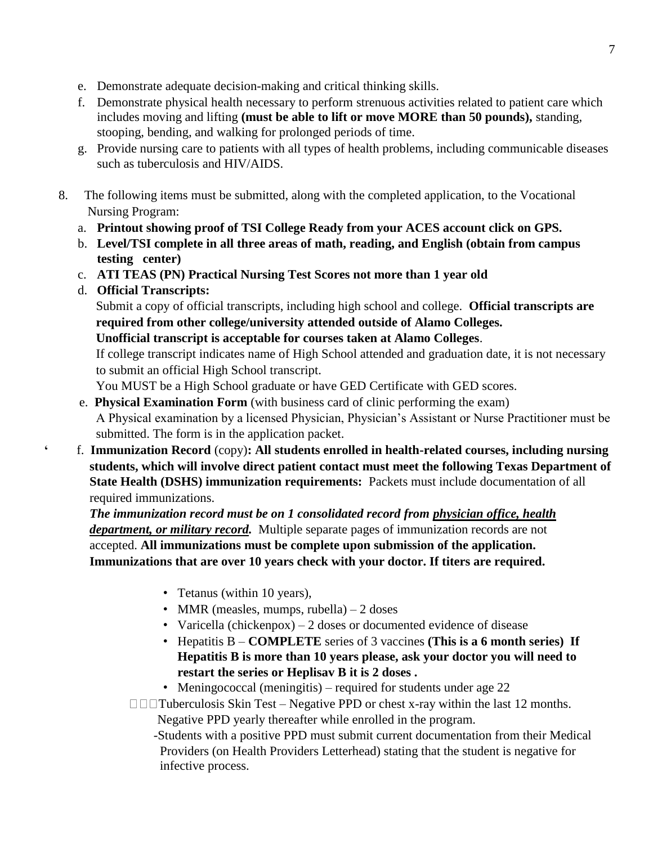- e. Demonstrate adequate decision-making and critical thinking skills.
- f. Demonstrate physical health necessary to perform strenuous activities related to patient care which includes moving and lifting **(must be able to lift or move MORE than 50 pounds),** standing, stooping, bending, and walking for prolonged periods of time.
- g. Provide nursing care to patients with all types of health problems, including communicable diseases such as tuberculosis and HIV/AIDS.
- 8. The following items must be submitted, along with the completed application, to the Vocational Nursing Program:
	- a. **Printout showing proof of TSI College Ready from your ACES account click on GPS.**
	- b. **Level/TSI complete in all three areas of math, reading, and English (obtain from campus testing center)**
	- c. **ATI TEAS (PN) Practical Nursing Test Scores not more than 1 year old**
	- d. **Official Transcripts:**

 Submit a copy of official transcripts, including high school and college. **Official transcripts are required from other college/university attended outside of Alamo Colleges. Unofficial transcript is acceptable for courses taken at Alamo Colleges**.

 If college transcript indicates name of High School attended and graduation date, it is not necessary to submit an official High School transcript.

You MUST be a High School graduate or have GED Certificate with GED scores.

- e. **Physical Examination Form** (with business card of clinic performing the exam) A Physical examination by a licensed Physician, Physician's Assistant or Nurse Practitioner must be submitted. The form is in the application packet.
- **'** f. **Immunization Record** (copy)**: All students enrolled in health-related courses, including nursing students, which will involve direct patient contact must meet the following Texas Department of State Health (DSHS) immunization requirements:** Packets must include documentation of all required immunizations.

 *The immunization record must be on 1 consolidated record from physician office, health department, or military record.* Multiple separate pages of immunization records are not accepted. **All immunizations must be complete upon submission of the application. Immunizations that are over 10 years check with your doctor. If titers are required.** 

- Tetanus (within 10 years),
- MMR (measles, mumps, rubella)  $-2$  doses
- Varicella (chickenpox)  $-2$  doses or documented evidence of disease
- Hepatitis B **COMPLETE** series of 3 vaccines **(This is a 6 month series) If Hepatitis B is more than 10 years please, ask your doctor you will need to restart the series or Heplisav B it is 2 doses .**
- Meningococcal (meningitis) required for students under age 22

 $\Box$  $\Box$ Tuberculosis Skin Test – Negative PPD or chest x-ray within the last 12 months.

Negative PPD yearly thereafter while enrolled in the program.

 -Students with a positive PPD must submit current documentation from their Medical Providers (on Health Providers Letterhead) stating that the student is negative for infective process.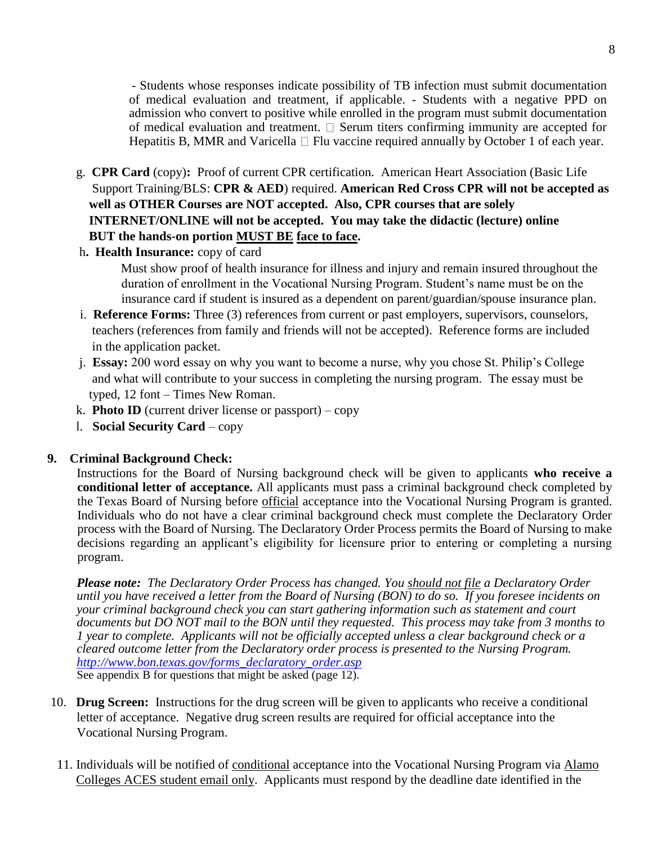- Students whose responses indicate possibility of TB infection must submit documentation of medical evaluation and treatment, if applicable. - Students with a negative PPD on admission who convert to positive while enrolled in the program must submit documentation of medical evaluation and treatment.  $\square$  Serum titers confirming immunity are accepted for Hepatitis B, MMR and Varicella  $\Box$  Flu vaccine required annually by October 1 of each year.

- g. **CPR Card** (copy)**:** Proof of current CPR certification. American Heart Association (Basic Life Support Training/BLS: **CPR & AED**) required. **American Red Cross CPR will not be accepted as well as OTHER Courses are NOT accepted. Also, CPR courses that are solely INTERNET/ONLINE will not be accepted. You may take the didactic (lecture) online BUT the hands-on portion MUST BE face to face.**
- h**. Health Insurance:** copy of card

Must show proof of health insurance for illness and injury and remain insured throughout the duration of enrollment in the Vocational Nursing Program. Student's name must be on the insurance card if student is insured as a dependent on parent/guardian/spouse insurance plan.

- i. **Reference Forms:** Three (3) references from current or past employers, supervisors, counselors, teachers (references from family and friends will not be accepted). Reference forms are included in the application packet.
- j. **Essay:** 200 word essay on why you want to become a nurse, why you chose St. Philip's College and what will contribute to your success in completing the nursing program. The essay must be typed, 12 font – Times New Roman.
- **k. Photo ID** (current driver license or passport) copy
- l. **Social Security Card** copy

#### **9. Criminal Background Check:**

Instructions for the Board of Nursing background check will be given to applicants **who receive a conditional letter of acceptance.** All applicants must pass a criminal background check completed by the Texas Board of Nursing before official acceptance into the Vocational Nursing Program is granted. Individuals who do not have a clear criminal background check must complete the Declaratory Order process with the Board of Nursing. The Declaratory Order Process permits the Board of Nursing to make decisions regarding an applicant's eligibility for licensure prior to entering or completing a nursing program.

*Please note: The Declaratory Order Process has changed. You should not file a Declaratory Order until you have received a letter from the Board of Nursing (BON) to do so. If you foresee incidents on your criminal background check you can start gathering information such as statement and court documents but DO NOT mail to the BON until they requested. This process may take from 3 months to 1 year to complete. Applicants will not be officially accepted unless a clear background check or a cleared outcome letter from the Declaratory order process is presented to the Nursing Program. [http://www.bon.texas.gov/forms\\_declaratory\\_order.asp](http://www.bon.texas.gov/forms_declaratory_order.asp)* See appendix B for questions that might be asked (page 12).

- 10. **Drug Screen:** Instructions for the drug screen will be given to applicants who receive a conditional letter of acceptance. Negative drug screen results are required for official acceptance into the Vocational Nursing Program.
- 11. Individuals will be notified of conditional acceptance into the Vocational Nursing Program via Alamo Colleges ACES student email only. Applicants must respond by the deadline date identified in the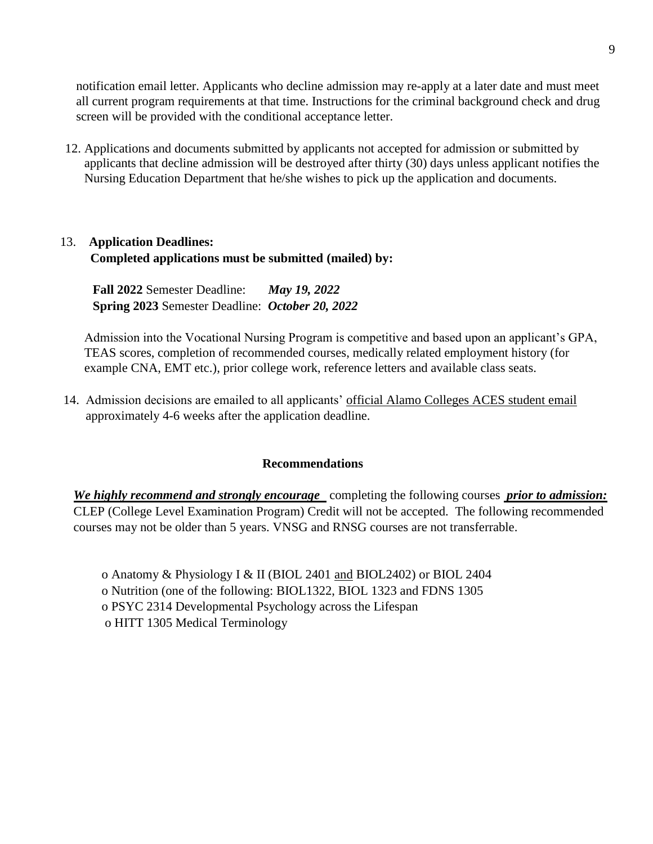notification email letter. Applicants who decline admission may re-apply at a later date and must meet all current program requirements at that time. Instructions for the criminal background check and drug screen will be provided with the conditional acceptance letter.

12. Applications and documents submitted by applicants not accepted for admission or submitted by applicants that decline admission will be destroyed after thirty (30) days unless applicant notifies the Nursing Education Department that he/she wishes to pick up the application and documents.

# 13. **Application Deadlines: Completed applications must be submitted (mailed) by:**

 **Fall 2022** Semester Deadline: *May 19, 2022* **Spring 2023** Semester Deadline: *October 20, 2022*

Admission into the Vocational Nursing Program is competitive and based upon an applicant's GPA, TEAS scores, completion of recommended courses, medically related employment history (for example CNA, EMT etc.), prior college work, reference letters and available class seats.

14. Admission decisions are emailed to all applicants' official Alamo Colleges ACES student email approximately 4-6 weeks after the application deadline.

#### **Recommendations**

 *We highly recommend and strongly encourage* completing the following courses *prior to admission:* CLEP (College Level Examination Program) Credit will not be accepted. The following recommended courses may not be older than 5 years. VNSG and RNSG courses are not transferrable.

o Anatomy & Physiology I & II (BIOL 2401 and BIOL2402) or BIOL 2404 o Nutrition (one of the following: BIOL1322, BIOL 1323 and FDNS 1305 o PSYC 2314 Developmental Psychology across the Lifespan o HITT 1305 Medical Terminology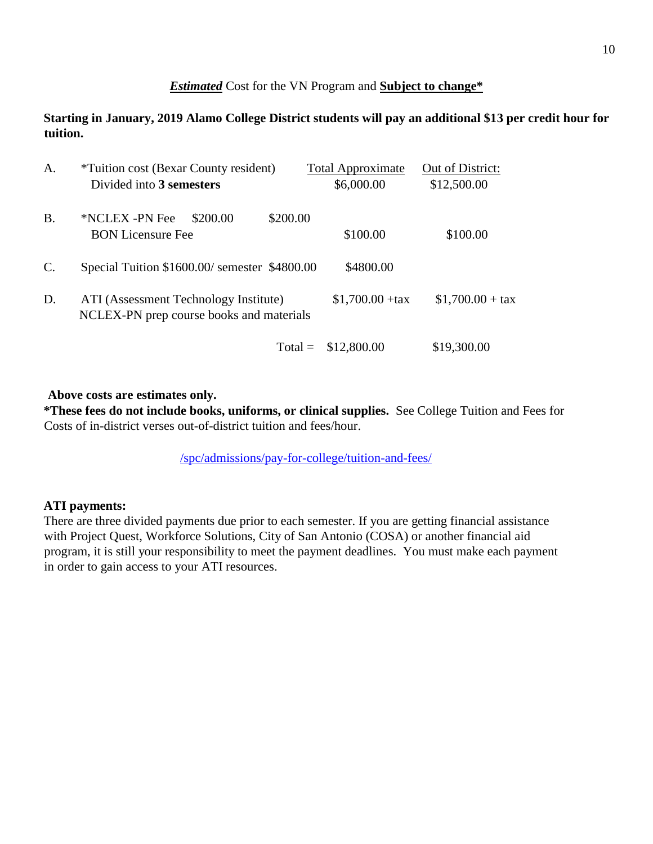# *Estimated* Cost for the VN Program and **Subject to change\***

**Starting in January, 2019 Alamo College District students will pay an additional \$13 per credit hour for tuition.** 

| A.             | <i>*Tuition cost (Bexar County resident)</i><br>Divided into 3 semesters          | <b>Total Approximate</b><br>\$6,000.00 | Out of District:<br>\$12,500.00 |
|----------------|-----------------------------------------------------------------------------------|----------------------------------------|---------------------------------|
| <b>B.</b>      | \$200.00<br>*NCLEX -PN Fee<br>\$200.00<br><b>BON Licensure Fee</b>                | \$100.00                               | \$100.00                        |
| $\mathbf{C}$ . | Special Tuition \$1600.00/ semester \$4800.00                                     | \$4800.00                              |                                 |
| D.             | ATI (Assessment Technology Institute)<br>NCLEX-PN prep course books and materials | $$1,700.00 + tax$                      | $$1,700.00 + tax$               |
|                | $Total =$                                                                         | \$12,800.00                            | \$19,300.00                     |

#### **Above costs are estimates only.**

**\*These fees do not include books, uniforms, or clinical supplies.** See College Tuition and Fees for Costs of in-district verses out-of-district tuition and fees/hour.

[/spc/admissions/pay-for-college/tuition-and-fees/](https://www.alamo.edu/spc/admissions/pay-for-college/tuition-and-fees/)

# **ATI payments:**

There are three divided payments due prior to each semester. If you are getting financial assistance with Project Quest, Workforce Solutions, City of San Antonio (COSA) or another financial aid program, it is still your responsibility to meet the payment deadlines. You must make each payment in order to gain access to your ATI resources.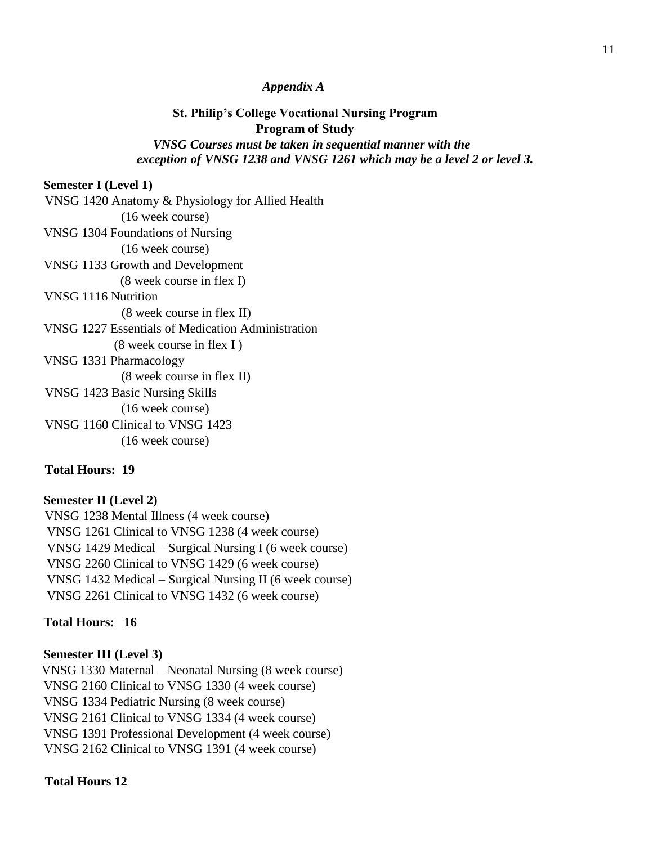#### *Appendix A*

# **St. Philip's College Vocational Nursing Program Program of Study**   *VNSG Courses must be taken in sequential manner with the exception of VNSG 1238 and VNSG 1261 which may be a level 2 or level 3.*

#### **Semester I (Level 1)**

 VNSG 1420 Anatomy & Physiology for Allied Health (16 week course) VNSG 1304 Foundations of Nursing (16 week course) VNSG 1133 Growth and Development (8 week course in flex I) VNSG 1116 Nutrition (8 week course in flex II) VNSG 1227 Essentials of Medication Administration (8 week course in flex I ) VNSG 1331 Pharmacology (8 week course in flex II) VNSG 1423 Basic Nursing Skills (16 week course) VNSG 1160 Clinical to VNSG 1423 (16 week course)

# **Total Hours: 19**

# **Semester II (Level 2)** VNSG 1238 Mental Illness (4 week course) VNSG 1261 Clinical to VNSG 1238 (4 week course) VNSG 1429 Medical – Surgical Nursing I (6 week course) VNSG 2260 Clinical to VNSG 1429 (6 week course) VNSG 1432 Medical – Surgical Nursing II (6 week course) VNSG 2261 Clinical to VNSG 1432 (6 week course)

#### **Total Hours: 16**

#### **Semester III (Level 3)**

VNSG 1330 Maternal – Neonatal Nursing (8 week course) VNSG 2160 Clinical to VNSG 1330 (4 week course) VNSG 1334 Pediatric Nursing (8 week course) VNSG 2161 Clinical to VNSG 1334 (4 week course) VNSG 1391 Professional Development (4 week course) VNSG 2162 Clinical to VNSG 1391 (4 week course)

#### **Total Hours 12**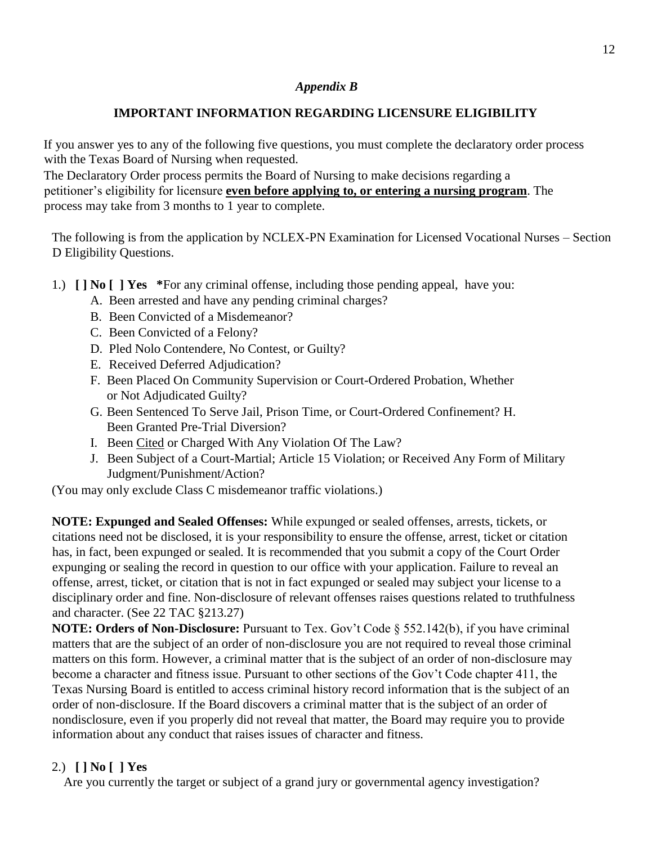#### *Appendix B*

# **IMPORTANT INFORMATION REGARDING LICENSURE ELIGIBILITY**

If you answer yes to any of the following five questions, you must complete the declaratory order process with the Texas Board of Nursing when requested.

The Declaratory Order process permits the Board of Nursing to make decisions regarding a petitioner's eligibility for licensure **even before applying to, or entering a nursing program**. The process may take from 3 months to 1 year to complete.

The following is from the application by NCLEX-PN Examination for Licensed Vocational Nurses – Section D Eligibility Questions.

- 1.) **[ ] No [ ] Yes \***For any criminal offense, including those pending appeal, have you:
	- A. Been arrested and have any pending criminal charges?
	- B. Been Convicted of a Misdemeanor?
	- C. Been Convicted of a Felony?
	- D. Pled Nolo Contendere, No Contest, or Guilty?
	- E. Received Deferred Adjudication?
	- F. Been Placed On Community Supervision or Court-Ordered Probation, Whether or Not Adjudicated Guilty?
	- G. Been Sentenced To Serve Jail, Prison Time, or Court-Ordered Confinement? H. Been Granted Pre-Trial Diversion?
	- I. Been Cited or Charged With Any Violation Of The Law?
	- J. Been Subject of a Court-Martial; Article 15 Violation; or Received Any Form of Military Judgment/Punishment/Action?

(You may only exclude Class C misdemeanor traffic violations.)

**NOTE: Expunged and Sealed Offenses:** While expunged or sealed offenses, arrests, tickets, or citations need not be disclosed, it is your responsibility to ensure the offense, arrest, ticket or citation has, in fact, been expunged or sealed. It is recommended that you submit a copy of the Court Order expunging or sealing the record in question to our office with your application. Failure to reveal an offense, arrest, ticket, or citation that is not in fact expunged or sealed may subject your license to a disciplinary order and fine. Non-disclosure of relevant offenses raises questions related to truthfulness and character. (See 22 TAC §213.27)

**NOTE: Orders of Non-Disclosure:** Pursuant to Tex. Gov't Code § 552.142(b), if you have criminal matters that are the subject of an order of non-disclosure you are not required to reveal those criminal matters on this form. However, a criminal matter that is the subject of an order of non-disclosure may become a character and fitness issue. Pursuant to other sections of the Gov't Code chapter 411, the Texas Nursing Board is entitled to access criminal history record information that is the subject of an order of non-disclosure. If the Board discovers a criminal matter that is the subject of an order of nondisclosure, even if you properly did not reveal that matter, the Board may require you to provide information about any conduct that raises issues of character and fitness.

# 2.) **[ ] No [ ] Yes**

Are you currently the target or subject of a grand jury or governmental agency investigation?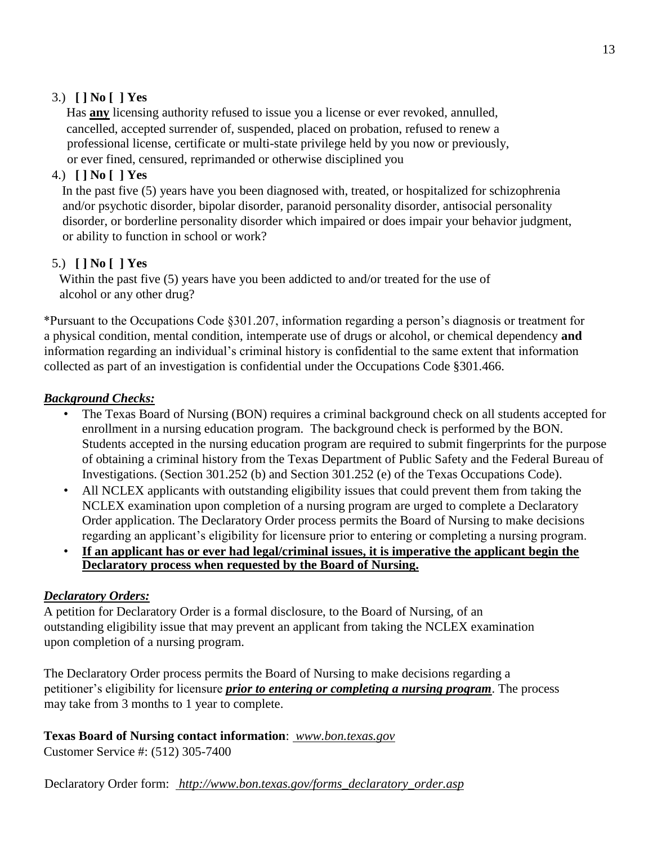# 3.) **[ ] No [ ] Yes**

Has **any** licensing authority refused to issue you a license or ever revoked, annulled, cancelled, accepted surrender of, suspended, placed on probation, refused to renew a professional license, certificate or multi-state privilege held by you now or previously, or ever fined, censured, reprimanded or otherwise disciplined you

# 4.) **[ ] No [ ] Yes**

In the past five (5) years have you been diagnosed with, treated, or hospitalized for schizophrenia and/or psychotic disorder, bipolar disorder, paranoid personality disorder, antisocial personality disorder, or borderline personality disorder which impaired or does impair your behavior judgment, or ability to function in school or work?

# 5.) **[ ] No [ ] Yes**

Within the past five (5) years have you been addicted to and/or treated for the use of alcohol or any other drug?

\*Pursuant to the Occupations Code §301.207, information regarding a person's diagnosis or treatment for a physical condition, mental condition, intemperate use of drugs or alcohol, or chemical dependency **and** information regarding an individual's criminal history is confidential to the same extent that information collected as part of an investigation is confidential under the Occupations Code §301.466.

# *Background Checks:*

- The Texas Board of Nursing (BON) requires a criminal background check on all students accepted for enrollment in a nursing education program. The background check is performed by the BON. Students accepted in the nursing education program are required to submit fingerprints for the purpose of obtaining a criminal history from the Texas Department of Public Safety and the Federal Bureau of Investigations. (Section 301.252 (b) and Section 301.252 (e) of the Texas Occupations Code).
- All NCLEX applicants with outstanding eligibility issues that could prevent them from taking the NCLEX examination upon completion of a nursing program are urged to complete a Declaratory Order application. The Declaratory Order process permits the Board of Nursing to make decisions regarding an applicant's eligibility for licensure prior to entering or completing a nursing program.
- **If an applicant has or ever had legal/criminal issues, it is imperative the applicant begin the Declaratory process when requested by the Board of Nursing.**

# *Declaratory Orders:*

A petition for Declaratory Order is a formal disclosure, to the Board of Nursing, of an outstanding eligibility issue that may prevent an applicant from taking the NCLEX examination upon completion of a nursing program.

The Declaratory Order process permits the Board of Nursing to make decisions regarding a petitioner's eligibility for licensure *prior to entering or completing a nursing program*. The process may take from 3 months to 1 year to complete.

# **Texas Board of Nursing contact information**: *[www.bon.texas.gov](http://www.bon.texas.gov/)*

Customer Service #: (512) 305-7400

Declaratory Order form: *[http://www.bon.texas.gov/forms\\_declaratory\\_order.asp](http://www.bon.texas.gov/forms_declaratory_order.asp)*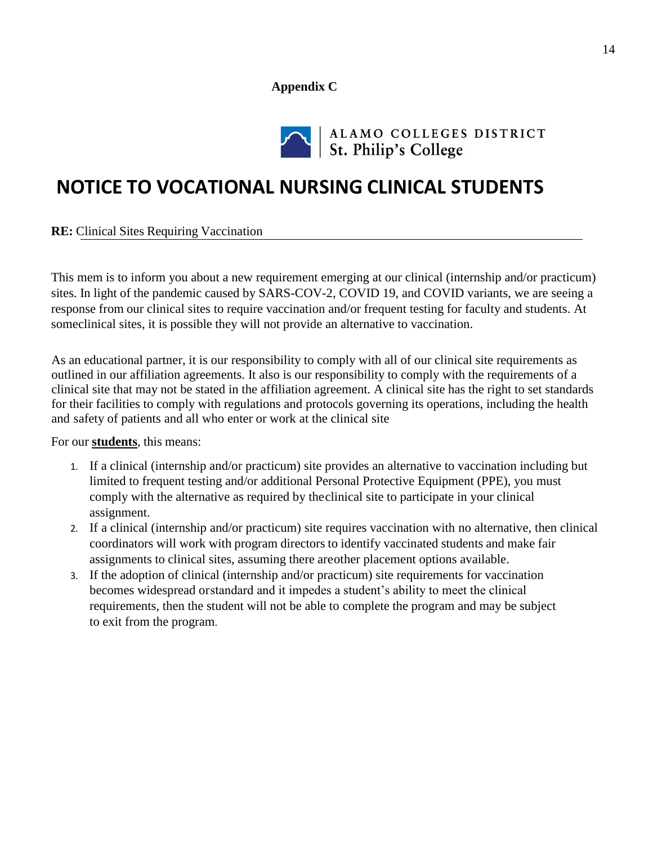#### **Appendix C**



# ALAMO COLLEGES DISTRICT<br>St. Philip's College

# **NOTICE TO VOCATIONAL NURSING CLINICAL STUDENTS**

**RE:** Clinical Sites Requiring Vaccination

This mem is to inform you about a new requirement emerging at our clinical (internship and/or practicum) sites. In light of the pandemic caused by SARS-COV-2, COVID 19, and COVID variants, we are seeing a response from our clinical sites to require vaccination and/or frequent testing for faculty and students. At someclinical sites, it is possible they will not provide an alternative to vaccination.

As an educational partner, it is our responsibility to comply with all of our clinical site requirements as outlined in our affiliation agreements. It also is our responsibility to comply with the requirements of a clinical site that may not be stated in the affiliation agreement. A clinical site has the right to set standards for their facilities to comply with regulations and protocols governing its operations, including the health and safety of patients and all who enter or work at the clinical site

For our **students**, this means:

- 1. If a clinical (internship and/or practicum) site provides an alternative to vaccination including but limited to frequent testing and/or additional Personal Protective Equipment (PPE), you must comply with the alternative as required by theclinical site to participate in your clinical assignment.
- 2. If a clinical (internship and/or practicum) site requires vaccination with no alternative, then clinical coordinators will work with program directors to identify vaccinated students and make fair assignments to clinical sites, assuming there areother placement options available.
- 3. If the adoption of clinical (internship and/or practicum) site requirements for vaccination becomes widespread orstandard and it impedes a student's ability to meet the clinical requirements, then the student will not be able to complete the program and may be subject to exit from the program.